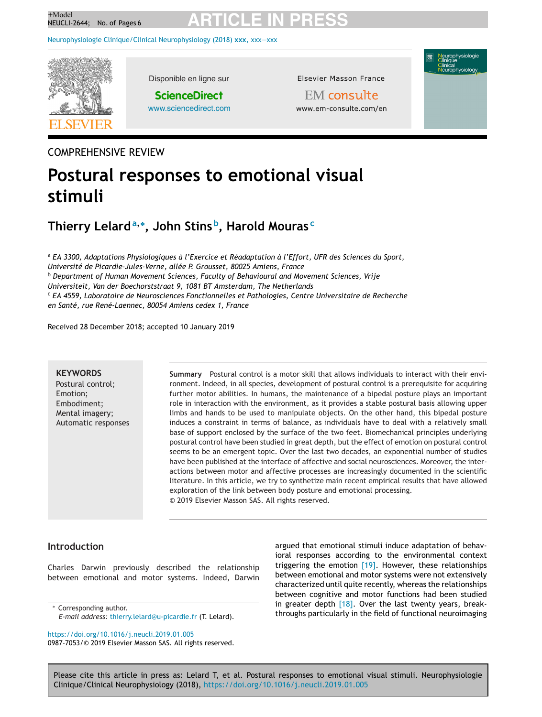[Neurophysiologie](https://doi.org/10.1016/j.neucli.2019.01.005) Clinique/Clinical Neurophysiology (2018) **xxx**, xxx—xxx



Disponible en ligne sur

**ScienceDirect** [www.sciencedirect.com](http://www.sciencedirect.com/science/journal/09877053) **Elsevier Masson France** EMIconsulte

www.em-consulte.com/en

COMPREHENSIVE REVIEW

# **Postural responses to emotional visual stimuli**

**Thierry Lelard<sup>a</sup>,<sup>∗</sup> , John Stins b, Harold Mouras <sup>c</sup>**

<sup>a</sup> *EA 3300, Adaptations Physiologiques à l'Exercice et Réadaptation à l'Effort, UFR des Sciences du Sport, Université de Picardie-Jules-Verne, allée P. Grousset, 80025 Amiens, France* <sup>b</sup> *Department of Human Movement Sciences, Faculty of Behavioural and Movement Sciences, Vrije Universiteit, Van der Boechorststraat 9, 1081 BT Amsterdam, The Netherlands* <sup>c</sup> *EA 4559, Laboratoire de Neurosciences Fonctionnelles et Pathologies, Centre Universitaire de Recherche en Santé, rue René-Laennec, 80054 Amiens cedex 1, France*

Received 28 December 2018; accepted 10 January 2019

#### **KEYWORDS** Postural control; Emotion; Embodiment; Mental imagery;

Automatic responses

**Summary** Postural control is a motor skill that allows individuals to interact with their environment. Indeed, in all species, development of postural control is a prerequisite for acquiring further motor abilities. In humans, the maintenance of a bipedal posture plays an important role in interaction with the environment, as it provides a stable postural basis allowing upper limbs and hands to be used to manipulate objects. On the other hand, this bipedal posture induces a constraint in terms of balance, as individuals have to deal with a relatively small base of support enclosed by the surface of the two feet. Biomechanical principles underlying postural control have been studied in great depth, but the effect of emotion on postural control seems to be an emergent topic. Over the last two decades, an exponential number of studies have been published at the interface of affective and social neurosciences. Moreover, the interactions between motor and affective processes are increasingly documented in the scientific literature. In this article, we try to synthetize main recent empirical results that have allowed exploration of the link between body posture and emotional processing. © 2019 Elsevier Masson SAS. All rights reserved.

## **Introduction**

Charles Darwin previously described the relationship between emotional and motor systems. Indeed, Darwin argued that emotional stimuli induce adaptation of behavioral responses according to the environmental context triggering the emotion  $[19]$ . However, these relationships between emotional and motor systems were not extensively characterized until quite recently, whereas the relationships between cognitive and motor functions had been studied in greater depth  $[18]$ . Over the last twenty years, breakthroughs particularly in the field of functional neuroimaging

Corresponding author. *E-mail address:* [thierry.lelard@u-picardie.fr](mailto:thierry.lelard@u-picardie.fr) (T. Lelard).

<https://doi.org/10.1016/j.neucli.2019.01.005>

0987-7053/© 2019 Elsevier Masson SAS. All rights reserved.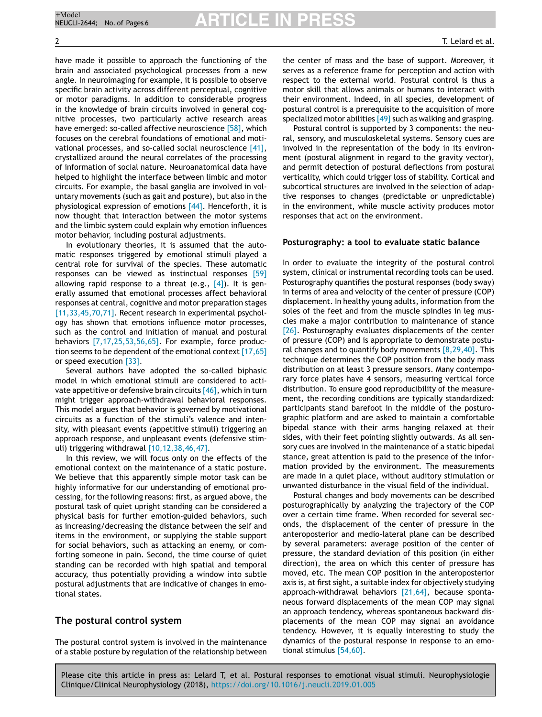have made it possible to approach the functioning of the brain and associated psychological processes from a new angle. In neuroimaging for example, it is possible to observe specific brain activity across different perceptual, cognitive or motor paradigms. In addition to considerable progress in the knowledge of brain circuits involved in general cognitive processes, two particularly active research areas have emerged: so-called affective neuroscience [\[58\],](#page-5-0) which focuses on the cerebral foundations of emotional and motivational processes, and so-called social neuroscience [\[41\],](#page-5-0) crystallized around the neural correlates of the processing of information of social nature. Neuroanatomical data have helped to highlight the interface between limbic and motor circuits. For example, the basal ganglia are involved in voluntary movements (such as gait and posture), but also in the physiological expression of emotions [\[44\].](#page-5-0) Henceforth, it is now thought that interaction between the motor systems and the limbic system could explain why emotion influences motor behavior, including postural adjustments.

In evolutionary theories, it is assumed that the automatic responses triggered by emotional stimuli played a central role for survival of the species. These automatic responses can be viewed as instinctual responses [\[59\]](#page-5-0) allowing rapid response to a threat (e.g.,  $[4]$ ). It is generally assumed that emotional processes affect behavioral responses at central, cognitive and motor preparation stages [\[11,33,45,70,71\].](#page-4-0) Recent research in experimental psychology has shown that emotions influence motor processes, such as the control and initiation of manual and postural behaviors [\[7,17,25,53,56,65\].](#page-4-0) For example, force production seems to be dependent of the emotional context [\[17,65\]](#page-4-0) or speed execution [\[33\].](#page-5-0)

Several authors have adopted the so-called biphasic model in which emotional stimuli are considered to activate appetitive or defensive brain circuits  $[46]$ , which in turn might trigger approach-withdrawal behavioral responses. This model argues that behavior is governed by motivational circuits as a function of the stimuli's valence and intensity, with pleasant events (appetitive stimuli) triggering an approach response, and unpleasant events (defensive stimuli) triggering withdrawal [\[10,12,38,46,47\].](#page-4-0)

In this review, we will focus only on the effects of the emotional context on the maintenance of a static posture. We believe that this apparently simple motor task can be highly informative for our understanding of emotional processing, for the following reasons: first, as argued above, the postural task of quiet upright standing can be considered a physical basis for further emotion-guided behaviors, such as increasing/decreasing the distance between the self and items in the environment, or supplying the stable support for social behaviors, such as attacking an enemy, or comforting someone in pain. Second, the time course of quiet standing can be recorded with high spatial and temporal accuracy, thus potentially providing a window into subtle postural adjustments that are indicative of changes in emotional states.

### **The postural control system**

The postural control system is involved in the maintenance of a stable posture by regulation of the relationship between

the center of mass and the base of support. Moreover, it serves as a reference frame for perception and action with respect to the external world. Postural control is thus a motor skill that allows animals or humans to interact with their environment. Indeed, in all species, development of postural control is a prerequisite to the acquisition of more specialized motor abilities [\[49\]](#page-5-0) such as walking and grasping.

Postural control is supported by 3 components: the neural, sensory, and musculoskeletal systems. Sensory cues are involved in the representation of the body in its environment (postural alignment in regard to the gravity vector), and permit detection of postural deflections from postural verticality, which could trigger loss of stability. Cortical and subcortical structures are involved in the selection of adaptive responses to changes (predictable or unpredictable) in the environment, while muscle activity produces motor responses that act on the environment.

#### **Posturography: a tool to evaluate static balance**

In order to evaluate the integrity of the postural control system, clinical or instrumental recording tools can be used. Posturography quantifies the postural responses (body sway) in terms of area and velocity of the center of pressure (COP) displacement. In healthy young adults, information from the soles of the feet and from the muscle spindles in leg muscles make a major contribution to maintenance of stance [\[26\].](#page-4-0) Posturography evaluates displacements of the center of pressure (COP) and is appropriate to demonstrate postural changes and to quantify body movements  $[8,29,40]$ . This technique determines the COP position from the body mass distribution on at least 3 pressure sensors. Many contemporary force plates have 4 sensors, measuring vertical force distribution. To ensure good reproducibility of the measurement, the recording conditions are typically standardized: participants stand barefoot in the middle of the posturographic platform and are asked to maintain a comfortable bipedal stance with their arms hanging relaxed at their sides, with their feet pointing slightly outwards. As all sensory cues are involved in the maintenance of a static bipedal stance, great attention is paid to the presence of the information provided by the environment. The measurements are made in a quiet place, without auditory stimulation or unwanted disturbance in the visual field of the individual.

Postural changes and body movements can be described posturographically by analyzing the trajectory of the COP over a certain time frame. When recorded for several seconds, the displacement of the center of pressure in the anteroposterior and medio-lateral plane can be described by several parameters: average position of the center of pressure, the standard deviation of this position (in either direction), the area on which this center of pressure has moved, etc. The mean COP position in the anteroposterior axis is, at first sight, a suitable index for objectively studying approach-withdrawal behaviors [\[21,64\],](#page-4-0) because spontaneous forward displacements of the mean COP may signal an approach tendency, whereas spontaneous backward displacements of the mean COP may signal an avoidance tendency. However, it is equally interesting to study the dynamics of the postural response in response to an emotional stimulus [\[54,60\].](#page-5-0)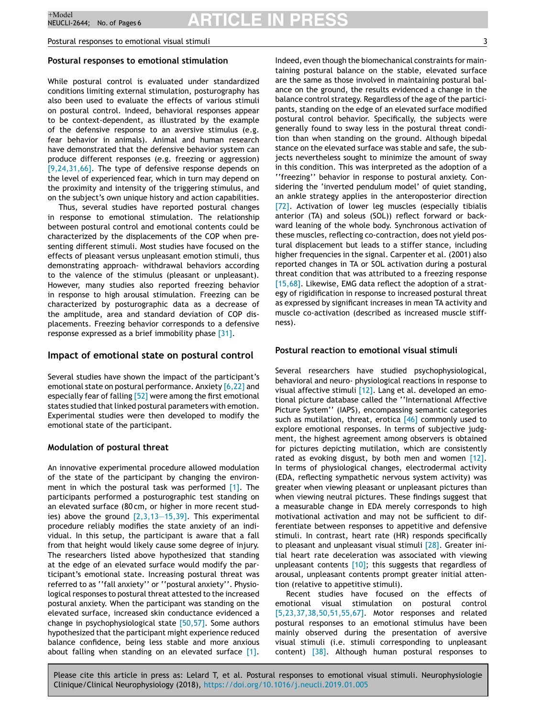Postural responses to emotional visual stimuli 3

### **Postural responses to emotional stimulation**

While postural control is evaluated under standardized conditions limiting external stimulation, posturography has also been used to evaluate the effects of various stimuli on postural control. Indeed, behavioral responses appear to be context-dependent, as illustrated by the example of the defensive response to an aversive stimulus (e.g. fear behavior in animals). Animal and human research have demonstrated that the defensive behavior system can produce different responses (e.g. freezing or aggression) [\[9,24,31,66\].](#page-4-0) The type of defensive response depends on the level of experienced fear, which in turn may depend on the proximity and intensity of the triggering stimulus, and on the subject's own unique history and action capabilities.

Thus, several studies have reported postural changes in response to emotional stimulation. The relationship between postural control and emotional contents could be characterized by the displacements of the COP when presenting different stimuli. Most studies have focused on the effects of pleasant versus unpleasant emotion stimuli, thus demonstrating approach- withdrawal behaviors according to the valence of the stimulus (pleasant or unpleasant). However, many studies also reported freezing behavior in response to high arousal stimulation. Freezing can be characterized by posturographic data as a decrease of the amplitude, area and standard deviation of COP displacements. Freezing behavior corresponds to a defensive response expressed as a brief immobility phase [\[31\].](#page-5-0)

#### **Impact of emotional state on postural control**

Several studies have shown the impact of the participant's emotional state on postural performance. Anxiety [\[6,22\]](#page-4-0) and especially fear of falling [\[52\]](#page-5-0) were among the first emotional states studied that linked postural parameters with emotion. Experimental studies were then developed to modify the emotional state of the participant.

#### **Modulation of postural threat**

An innovative experimental procedure allowed modulation of the state of the participant by changing the environment in which the postural task was performed  $[1]$ . The participants performed a posturographic test standing on an elevated surface (80 cm, or higher in more recent studies) above the ground  $[2,3,13-15,39]$ . This experimental procedure reliably modifies the state anxiety of an individual. In this setup, the participant is aware that a fall from that height would likely cause some degree of injury. The researchers listed above hypothesized that standing at the edge of an elevated surface would modify the participant's emotional state. Increasing postural threat was referred to as ''fall anxiety'' or ''postural anxiety''. Physiological responses to postural threat attested to the increased postural anxiety. When the participant was standing on the elevated surface, increased skin conductance evidenced a change in psychophysiological state [\[50,57\].](#page-5-0) Some authors hypothesized that the participant might experience reduced balance confidence, being less stable and more anxious about falling when standing on an elevated surface  $[1]$ .

Indeed, even though the biomechanical constraints for maintaining postural balance on the stable, elevated surface are the same as those involved in maintaining postural balance on the ground, the results evidenced a change in the balance control strategy. Regardless of the age of the participants, standing on the edge of an elevated surface modified postural control behavior. Specifically, the subjects were generally found to sway less in the postural threat condition than when standing on the ground. Although bipedal stance on the elevated surface was stable and safe, the subjects nevertheless sought to minimize the amount of sway in this condition. This was interpreted as the adoption of a ''freezing'' behavior in response to postural anxiety. Considering the 'inverted pendulum model' of quiet standing, an ankle strategy applies in the anteroposterior direction [\[72\].](#page-5-0) Activation of lower leg muscles (especially tibialis anterior (TA) and soleus (SOL)) reflect forward or backward leaning of the whole body. Synchronous activation of these muscles, reflecting co-contraction, does not yield postural displacement but leads to a stiffer stance, including higher frequencies in the signal. Carpenter et al. (2001) also reported changes in TA or SOL activation during a postural threat condition that was attributed to a freezing response [\[15,68\].](#page-4-0) Likewise, EMG data reflect the adoption of a strategy of rigidification in response to increased postural threat as expressed by significant increases in mean TA activity and muscle co-activation (described as increased muscle stiffness).

#### **Postural reaction to emotional visual stimuli**

Several researchers have studied psychophysiological, behavioral and neuro- physiological reactions in response to visual affective stimuli [\[12\].](#page-4-0) Lang et al. developed an emotional picture database called the ''International Affective Picture System'' (IAPS), encompassing semantic categories such as mutilation, threat, erotica  $[46]$  commonly used to explore emotional responses. In terms of subjective judgment, the highest agreement among observers is obtained for pictures depicting mutilation, which are consistently rated as evoking disgust, by both men and women  $[12]$ . In terms of physiological changes, electrodermal activity (EDA, reflecting sympathetic nervous system activity) was greater when viewing pleasant or unpleasant pictures than when viewing neutral pictures. These findings suggest that a measurable change in EDA merely corresponds to high motivational activation and may not be sufficient to differentiate between responses to appetitive and defensive stimuli. In contrast, heart rate (HR) responds specifically to pleasant and unpleasant visual stimuli [\[28\].](#page-5-0) Greater initial heart rate deceleration was associated with viewing unpleasant contents [\[10\];](#page-4-0) this suggests that regardless of arousal, unpleasant contents prompt greater initial attention (relative to appetitive stimuli).

Recent studies have focused on the effects of emotional visual stimulation on postural control [\[5,23,37,38,50,51,55,67\].](#page-4-0) Motor responses and related postural responses to an emotional stimulus have been mainly observed during the presentation of aversive visual stimuli (i.e. stimuli corresponding to unpleasant content) [\[38\].](#page-5-0) Although human postural responses to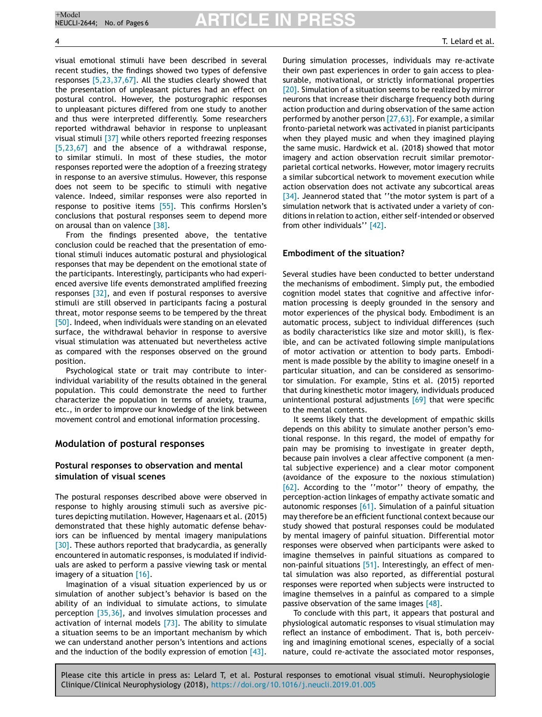visual emotional stimuli have been described in several recent studies, the findings showed two types of defensive responses [\[5,23,37,67\].](#page-4-0) All the studies clearly showed that the presentation of unpleasant pictures had an effect on postural control. However, the posturographic responses to unpleasant pictures differed from one study to another and thus were interpreted differently. Some researchers reported withdrawal behavior in response to unpleasant visual stimuli [\[37\]](#page-5-0) while others reported freezing responses [\[5,23,67\]](#page-4-0) and the absence of a withdrawal response, to similar stimuli. In most of these studies, the motor responses reported were the adoption of a freezing strategy in response to an aversive stimulus. However, this response does not seem to be specific to stimuli with negative valence. Indeed, similar responses were also reported in response to positive items [\[55\].](#page-5-0) This confirms Horslen's conclusions that postural responses seem to depend more on arousal than on valence [\[38\].](#page-5-0)

From the findings presented above, the tentative conclusion could be reached that the presentation of emotional stimuli induces automatic postural and physiological responses that may be dependent on the emotional state of the participants. Interestingly, participants who had experienced aversive life events demonstrated amplified freezing responses [\[32\],](#page-5-0) and even if postural responses to aversive stimuli are still observed in participants facing a postural threat, motor response seems to be tempered by the threat [\[50\].](#page-5-0) Indeed, when individuals were standing on an elevated surface, the withdrawal behavior in response to aversive visual stimulation was attenuated but nevertheless active as compared with the responses observed on the ground position.

Psychological state or trait may contribute to interindividual variability of the results obtained in the general population. This could demonstrate the need to further characterize the population in terms of anxiety, trauma, etc., in order to improve our knowledge of the link between movement control and emotional information processing.

#### **Modulation of postural responses**

#### **Postural responses to observation and mental simulation of visual scenes**

The postural responses described above were observed in response to highly arousing stimuli such as aversive pictures depicting mutilation. However, Hagenaars et al. (2015) demonstrated that these highly automatic defense behaviors can be influenced by mental imagery manipulations [\[30\].](#page-5-0) These authors reported that bradycardia, as generally encountered in automatic responses, is modulated if individuals are asked to perform a passive viewing task or mental imagery of a situation [\[16\].](#page-4-0)

Imagination of a visual situation experienced by us or simulation of another subject's behavior is based on the ability of an individual to simulate actions, to simulate perception [\[35,36\],](#page-5-0) and involves simulation processes and activation of internal models [\[73\].](#page-5-0) The ability to simulate a situation seems to be an important mechanism by which we can understand another person's intentions and actions and the induction of the bodily expression of emotion  $[43]$ .

During simulation processes, individuals may re-activate their own past experiences in order to gain access to pleasurable, motivational, or strictly informational properties [\[20\].](#page-4-0) Simulation of a situation seems to be realized by mirror neurons that increase their discharge frequency both during action production and during observation of the same action performed by another person [\[27,63\].](#page-4-0) For example, a similar fronto-parietal network was activated in pianist participants when they played music and when they imagined playing the same music. Hardwick et al. (2018) showed that motor imagery and action observation recruit similar premotorparietal cortical networks. However, motor imagery recruits a similar subcortical network to movement execution while action observation does not activate any subcortical areas [\[34\].](#page-5-0) Jeannerod stated that "the motor system is part of a simulation network that is activated under a variety of conditions in relation to action, either self-intended or observed from other individuals'' [\[42\].](#page-5-0)

#### **Embodiment of the situation?**

Several studies have been conducted to better understand the mechanisms of embodiment. Simply put, the embodied cognition model states that cognitive and affective information processing is deeply grounded in the sensory and motor experiences of the physical body. Embodiment is an automatic process, subject to individual differences (such as bodily characteristics like size and motor skill), is flexible, and can be activated following simple manipulations of motor activation or attention to body parts. Embodiment is made possible by the ability to imagine oneself in a particular situation, and can be considered as sensorimotor simulation. For example, Stins et al. (2015) reported that during kinesthetic motor imagery, individuals produced unintentional postural adjustments  $[69]$  that were specific to the mental contents.

It seems likely that the development of empathic skills depends on this ability to simulate another person's emotional response. In this regard, the model of empathy for pain may be promising to investigate in greater depth, because pain involves a clear affective component (a mental subjective experience) and a clear motor component (avoidance of the exposure to the noxious stimulation) [\[62\].](#page-5-0) According to the ''motor'' theory of empathy, the perception-action linkages of empathy activate somatic and autonomic responses [\[61\].](#page-5-0) Simulation of a painful situation may therefore be an efficient functional context because our study showed that postural responses could be modulated by mental imagery of painful situation. Differential motor responses were observed when participants were asked to imagine themselves in painful situations as compared to non-painful situations [\[51\].](#page-5-0) Interestingly, an effect of mental simulation was also reported, as differential postural responses were reported when subjects were instructed to imagine themselves in a painful as compared to a simple passive observation of the same images [\[48\].](#page-5-0)

To conclude with this part, it appears that postural and physiological automatic responses to visual stimulation may reflect an instance of embodiment. That is, both perceiving and imagining emotional scenes, especially of a social nature, could re-activate the associated motor responses,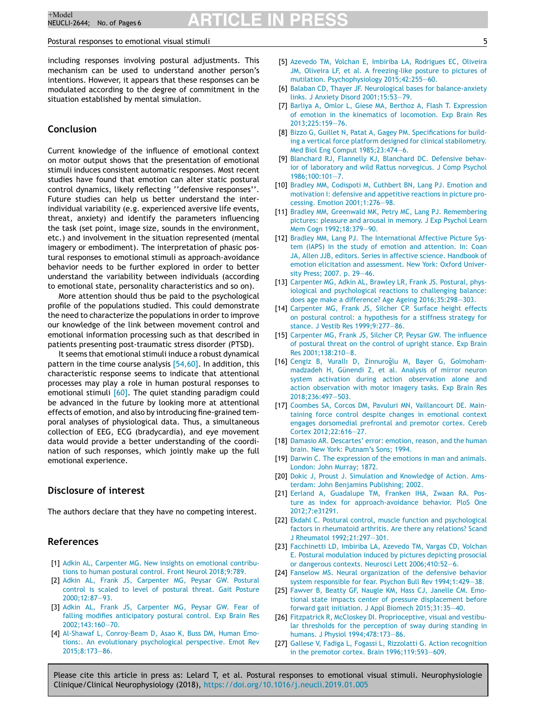#### <span id="page-4-0"></span>Postural responses to emotional visual stimuli 5

including responses involving postural adjustments. This mechanism can be used to understand another person's intentions. However, it appears that these responses can be modulated according to the degree of commitment in the situation established by mental simulation.

## **Conclusion**

Current knowledge of the influence of emotional context on motor output shows that the presentation of emotional stimuli induces consistent automatic responses. Most recent studies have found that emotion can alter static postural control dynamics, likely reflecting ''defensive responses''. Future studies can help us better understand the interindividual variability (e.g. experienced aversive life events, threat, anxiety) and identify the parameters influencing the task (set point, image size, sounds in the environment, etc.) and involvement in the situation represented (mental imagery or embodiment). The interpretation of phasic postural responses to emotional stimuli as approach-avoidance behavior needs to be further explored in order to better understand the variability between individuals (according to emotional state, personality characteristics and so on).

More attention should thus be paid to the psychological profile of the populations studied. This could demonstrate the need to characterize the populations in order to improve our knowledge of the link between movement control and emotional information processing such as that described in patients presenting post-traumatic stress disorder (PTSD).

It seems that emotional stimuli induce a robust dynamical pattern in the time course analysis  $[54,60]$ . In addition, this characteristic response seems to indicate that attentional processes may play a role in human postural responses to emotional stimuli [\[60\].](#page-5-0) The quiet standing paradigm could be advanced in the future by looking more at attentional effects of emotion, and also by introducing fine-grained temporal analyses of physiological data. Thus, a simultaneous collection of EEG, ECG (bradycardia), and eye movement data would provide a better understanding of the coordination of such responses, which jointly make up the full emotional experience.

## **Disclosure of interest**

The authors declare that they have no competing interest.

### **References**

- [1] [Adkin](http://refhub.elsevier.com/S0987-7053(18)30375-7/sbref0370) [AL,](http://refhub.elsevier.com/S0987-7053(18)30375-7/sbref0370) [Carpenter](http://refhub.elsevier.com/S0987-7053(18)30375-7/sbref0370) [MG.](http://refhub.elsevier.com/S0987-7053(18)30375-7/sbref0370) [New](http://refhub.elsevier.com/S0987-7053(18)30375-7/sbref0370) [insights](http://refhub.elsevier.com/S0987-7053(18)30375-7/sbref0370) [on](http://refhub.elsevier.com/S0987-7053(18)30375-7/sbref0370) [emotional](http://refhub.elsevier.com/S0987-7053(18)30375-7/sbref0370) [contribu](http://refhub.elsevier.com/S0987-7053(18)30375-7/sbref0370)[tions](http://refhub.elsevier.com/S0987-7053(18)30375-7/sbref0370) [to](http://refhub.elsevier.com/S0987-7053(18)30375-7/sbref0370) [human](http://refhub.elsevier.com/S0987-7053(18)30375-7/sbref0370) [postural](http://refhub.elsevier.com/S0987-7053(18)30375-7/sbref0370) [control.](http://refhub.elsevier.com/S0987-7053(18)30375-7/sbref0370) [Front](http://refhub.elsevier.com/S0987-7053(18)30375-7/sbref0370) [Neurol](http://refhub.elsevier.com/S0987-7053(18)30375-7/sbref0370) [2018;9:789.](http://refhub.elsevier.com/S0987-7053(18)30375-7/sbref0370)
- [2] [Adkin](http://refhub.elsevier.com/S0987-7053(18)30375-7/sbref0375) [AL,](http://refhub.elsevier.com/S0987-7053(18)30375-7/sbref0375) [Frank](http://refhub.elsevier.com/S0987-7053(18)30375-7/sbref0375) [JS,](http://refhub.elsevier.com/S0987-7053(18)30375-7/sbref0375) [Carpenter](http://refhub.elsevier.com/S0987-7053(18)30375-7/sbref0375) [MG,](http://refhub.elsevier.com/S0987-7053(18)30375-7/sbref0375) [Peysar](http://refhub.elsevier.com/S0987-7053(18)30375-7/sbref0375) [GW.](http://refhub.elsevier.com/S0987-7053(18)30375-7/sbref0375) [Postural](http://refhub.elsevier.com/S0987-7053(18)30375-7/sbref0375) [control](http://refhub.elsevier.com/S0987-7053(18)30375-7/sbref0375) [is](http://refhub.elsevier.com/S0987-7053(18)30375-7/sbref0375) [scaled](http://refhub.elsevier.com/S0987-7053(18)30375-7/sbref0375) [to](http://refhub.elsevier.com/S0987-7053(18)30375-7/sbref0375) [level](http://refhub.elsevier.com/S0987-7053(18)30375-7/sbref0375) [of](http://refhub.elsevier.com/S0987-7053(18)30375-7/sbref0375) [postural](http://refhub.elsevier.com/S0987-7053(18)30375-7/sbref0375) [threat.](http://refhub.elsevier.com/S0987-7053(18)30375-7/sbref0375) [Gait](http://refhub.elsevier.com/S0987-7053(18)30375-7/sbref0375) [Posture](http://refhub.elsevier.com/S0987-7053(18)30375-7/sbref0375) [2000;12:87—93.](http://refhub.elsevier.com/S0987-7053(18)30375-7/sbref0375)
- [3] [Adkin](http://refhub.elsevier.com/S0987-7053(18)30375-7/sbref0380) [AL,](http://refhub.elsevier.com/S0987-7053(18)30375-7/sbref0380) [Frank](http://refhub.elsevier.com/S0987-7053(18)30375-7/sbref0380) [JS,](http://refhub.elsevier.com/S0987-7053(18)30375-7/sbref0380) [Carpenter](http://refhub.elsevier.com/S0987-7053(18)30375-7/sbref0380) [MG,](http://refhub.elsevier.com/S0987-7053(18)30375-7/sbref0380) [Peysar](http://refhub.elsevier.com/S0987-7053(18)30375-7/sbref0380) [GW.](http://refhub.elsevier.com/S0987-7053(18)30375-7/sbref0380) [Fear](http://refhub.elsevier.com/S0987-7053(18)30375-7/sbref0380) [of](http://refhub.elsevier.com/S0987-7053(18)30375-7/sbref0380) [falling](http://refhub.elsevier.com/S0987-7053(18)30375-7/sbref0380) [modifies](http://refhub.elsevier.com/S0987-7053(18)30375-7/sbref0380) [anticipatory](http://refhub.elsevier.com/S0987-7053(18)30375-7/sbref0380) [postural](http://refhub.elsevier.com/S0987-7053(18)30375-7/sbref0380) [control.](http://refhub.elsevier.com/S0987-7053(18)30375-7/sbref0380) [Exp](http://refhub.elsevier.com/S0987-7053(18)30375-7/sbref0380) [Brain](http://refhub.elsevier.com/S0987-7053(18)30375-7/sbref0380) [Res](http://refhub.elsevier.com/S0987-7053(18)30375-7/sbref0380) [2002;143:160—70.](http://refhub.elsevier.com/S0987-7053(18)30375-7/sbref0380)
- [4] [Al-Shawaf](http://refhub.elsevier.com/S0987-7053(18)30375-7/sbref0385) [L,](http://refhub.elsevier.com/S0987-7053(18)30375-7/sbref0385) [Conroy-Beam](http://refhub.elsevier.com/S0987-7053(18)30375-7/sbref0385) [D,](http://refhub.elsevier.com/S0987-7053(18)30375-7/sbref0385) [Asao](http://refhub.elsevier.com/S0987-7053(18)30375-7/sbref0385) [K,](http://refhub.elsevier.com/S0987-7053(18)30375-7/sbref0385) [Buss](http://refhub.elsevier.com/S0987-7053(18)30375-7/sbref0385) [DM,](http://refhub.elsevier.com/S0987-7053(18)30375-7/sbref0385) [Human](http://refhub.elsevier.com/S0987-7053(18)30375-7/sbref0385) [Emo](http://refhub.elsevier.com/S0987-7053(18)30375-7/sbref0385)[tions:.](http://refhub.elsevier.com/S0987-7053(18)30375-7/sbref0385) [An](http://refhub.elsevier.com/S0987-7053(18)30375-7/sbref0385) [evolutionary](http://refhub.elsevier.com/S0987-7053(18)30375-7/sbref0385) [psychological](http://refhub.elsevier.com/S0987-7053(18)30375-7/sbref0385) [perspective.](http://refhub.elsevier.com/S0987-7053(18)30375-7/sbref0385) [Emot](http://refhub.elsevier.com/S0987-7053(18)30375-7/sbref0385) [Rev](http://refhub.elsevier.com/S0987-7053(18)30375-7/sbref0385) [2015;8:173—86.](http://refhub.elsevier.com/S0987-7053(18)30375-7/sbref0385)
- [5] [Azevedo](http://refhub.elsevier.com/S0987-7053(18)30375-7/sbref0390) [TM,](http://refhub.elsevier.com/S0987-7053(18)30375-7/sbref0390) [Volchan](http://refhub.elsevier.com/S0987-7053(18)30375-7/sbref0390) [E,](http://refhub.elsevier.com/S0987-7053(18)30375-7/sbref0390) [Imbiriba](http://refhub.elsevier.com/S0987-7053(18)30375-7/sbref0390) [LA,](http://refhub.elsevier.com/S0987-7053(18)30375-7/sbref0390) [Rodrigues](http://refhub.elsevier.com/S0987-7053(18)30375-7/sbref0390) [EC,](http://refhub.elsevier.com/S0987-7053(18)30375-7/sbref0390) [Oliveira](http://refhub.elsevier.com/S0987-7053(18)30375-7/sbref0390) [JM,](http://refhub.elsevier.com/S0987-7053(18)30375-7/sbref0390) [Oliveira](http://refhub.elsevier.com/S0987-7053(18)30375-7/sbref0390) [LF,](http://refhub.elsevier.com/S0987-7053(18)30375-7/sbref0390) [et](http://refhub.elsevier.com/S0987-7053(18)30375-7/sbref0390) [al.](http://refhub.elsevier.com/S0987-7053(18)30375-7/sbref0390) [A](http://refhub.elsevier.com/S0987-7053(18)30375-7/sbref0390) [freezing-like](http://refhub.elsevier.com/S0987-7053(18)30375-7/sbref0390) [posture](http://refhub.elsevier.com/S0987-7053(18)30375-7/sbref0390) [to](http://refhub.elsevier.com/S0987-7053(18)30375-7/sbref0390) [pictures](http://refhub.elsevier.com/S0987-7053(18)30375-7/sbref0390) [of](http://refhub.elsevier.com/S0987-7053(18)30375-7/sbref0390) [mutilation.](http://refhub.elsevier.com/S0987-7053(18)30375-7/sbref0390) [Psychophysiology](http://refhub.elsevier.com/S0987-7053(18)30375-7/sbref0390) [2015;42:255—60.](http://refhub.elsevier.com/S0987-7053(18)30375-7/sbref0390)
- [6] [Balaban](http://refhub.elsevier.com/S0987-7053(18)30375-7/sbref0395) [CD,](http://refhub.elsevier.com/S0987-7053(18)30375-7/sbref0395) [Thayer](http://refhub.elsevier.com/S0987-7053(18)30375-7/sbref0395) [JF.](http://refhub.elsevier.com/S0987-7053(18)30375-7/sbref0395) [Neurological](http://refhub.elsevier.com/S0987-7053(18)30375-7/sbref0395) [bases](http://refhub.elsevier.com/S0987-7053(18)30375-7/sbref0395) [for](http://refhub.elsevier.com/S0987-7053(18)30375-7/sbref0395) [balance-anxiety](http://refhub.elsevier.com/S0987-7053(18)30375-7/sbref0395) [links.](http://refhub.elsevier.com/S0987-7053(18)30375-7/sbref0395) [J](http://refhub.elsevier.com/S0987-7053(18)30375-7/sbref0395) [Anxiety](http://refhub.elsevier.com/S0987-7053(18)30375-7/sbref0395) [Disord](http://refhub.elsevier.com/S0987-7053(18)30375-7/sbref0395) [2001;15:53](http://refhub.elsevier.com/S0987-7053(18)30375-7/sbref0395)—[79.](http://refhub.elsevier.com/S0987-7053(18)30375-7/sbref0395)
- [7] [Barliya](http://refhub.elsevier.com/S0987-7053(18)30375-7/sbref0400) [A,](http://refhub.elsevier.com/S0987-7053(18)30375-7/sbref0400) [Omlor](http://refhub.elsevier.com/S0987-7053(18)30375-7/sbref0400) [L,](http://refhub.elsevier.com/S0987-7053(18)30375-7/sbref0400) [Giese](http://refhub.elsevier.com/S0987-7053(18)30375-7/sbref0400) [MA,](http://refhub.elsevier.com/S0987-7053(18)30375-7/sbref0400) [Berthoz](http://refhub.elsevier.com/S0987-7053(18)30375-7/sbref0400) [A,](http://refhub.elsevier.com/S0987-7053(18)30375-7/sbref0400) [Flash](http://refhub.elsevier.com/S0987-7053(18)30375-7/sbref0400) [T.](http://refhub.elsevier.com/S0987-7053(18)30375-7/sbref0400) [Expression](http://refhub.elsevier.com/S0987-7053(18)30375-7/sbref0400) [of](http://refhub.elsevier.com/S0987-7053(18)30375-7/sbref0400) [emotion](http://refhub.elsevier.com/S0987-7053(18)30375-7/sbref0400) [in](http://refhub.elsevier.com/S0987-7053(18)30375-7/sbref0400) [the](http://refhub.elsevier.com/S0987-7053(18)30375-7/sbref0400) [kinematics](http://refhub.elsevier.com/S0987-7053(18)30375-7/sbref0400) [of](http://refhub.elsevier.com/S0987-7053(18)30375-7/sbref0400) [locomotion.](http://refhub.elsevier.com/S0987-7053(18)30375-7/sbref0400) [Exp](http://refhub.elsevier.com/S0987-7053(18)30375-7/sbref0400) [Brain](http://refhub.elsevier.com/S0987-7053(18)30375-7/sbref0400) [Res](http://refhub.elsevier.com/S0987-7053(18)30375-7/sbref0400) [2013;225:159—76.](http://refhub.elsevier.com/S0987-7053(18)30375-7/sbref0400)
- [8] [Bizzo](http://refhub.elsevier.com/S0987-7053(18)30375-7/sbref0405) [G,](http://refhub.elsevier.com/S0987-7053(18)30375-7/sbref0405) [Guillet](http://refhub.elsevier.com/S0987-7053(18)30375-7/sbref0405) [N,](http://refhub.elsevier.com/S0987-7053(18)30375-7/sbref0405) [Patat](http://refhub.elsevier.com/S0987-7053(18)30375-7/sbref0405) [A,](http://refhub.elsevier.com/S0987-7053(18)30375-7/sbref0405) [Gagey](http://refhub.elsevier.com/S0987-7053(18)30375-7/sbref0405) [PM.](http://refhub.elsevier.com/S0987-7053(18)30375-7/sbref0405) [Specifications](http://refhub.elsevier.com/S0987-7053(18)30375-7/sbref0405) [for](http://refhub.elsevier.com/S0987-7053(18)30375-7/sbref0405) [build](http://refhub.elsevier.com/S0987-7053(18)30375-7/sbref0405)[ing](http://refhub.elsevier.com/S0987-7053(18)30375-7/sbref0405) [a](http://refhub.elsevier.com/S0987-7053(18)30375-7/sbref0405) [vertical](http://refhub.elsevier.com/S0987-7053(18)30375-7/sbref0405) [force](http://refhub.elsevier.com/S0987-7053(18)30375-7/sbref0405) [platform](http://refhub.elsevier.com/S0987-7053(18)30375-7/sbref0405) [designed](http://refhub.elsevier.com/S0987-7053(18)30375-7/sbref0405) [for](http://refhub.elsevier.com/S0987-7053(18)30375-7/sbref0405) [clinical](http://refhub.elsevier.com/S0987-7053(18)30375-7/sbref0405) [stabilometry.](http://refhub.elsevier.com/S0987-7053(18)30375-7/sbref0405) [Med](http://refhub.elsevier.com/S0987-7053(18)30375-7/sbref0405) [Biol](http://refhub.elsevier.com/S0987-7053(18)30375-7/sbref0405) [Eng](http://refhub.elsevier.com/S0987-7053(18)30375-7/sbref0405) [Comput](http://refhub.elsevier.com/S0987-7053(18)30375-7/sbref0405) [1985;23:474—6.](http://refhub.elsevier.com/S0987-7053(18)30375-7/sbref0405)
- [9] [Blanchard](http://refhub.elsevier.com/S0987-7053(18)30375-7/sbref0410) [RJ,](http://refhub.elsevier.com/S0987-7053(18)30375-7/sbref0410) [Flannelly](http://refhub.elsevier.com/S0987-7053(18)30375-7/sbref0410) [KJ,](http://refhub.elsevier.com/S0987-7053(18)30375-7/sbref0410) [Blanchard](http://refhub.elsevier.com/S0987-7053(18)30375-7/sbref0410) [DC.](http://refhub.elsevier.com/S0987-7053(18)30375-7/sbref0410) [Defensive](http://refhub.elsevier.com/S0987-7053(18)30375-7/sbref0410) [behav](http://refhub.elsevier.com/S0987-7053(18)30375-7/sbref0410)[ior](http://refhub.elsevier.com/S0987-7053(18)30375-7/sbref0410) [of](http://refhub.elsevier.com/S0987-7053(18)30375-7/sbref0410) [laboratory](http://refhub.elsevier.com/S0987-7053(18)30375-7/sbref0410) [and](http://refhub.elsevier.com/S0987-7053(18)30375-7/sbref0410) [wild](http://refhub.elsevier.com/S0987-7053(18)30375-7/sbref0410) [Rattus](http://refhub.elsevier.com/S0987-7053(18)30375-7/sbref0410) [norvegicus.](http://refhub.elsevier.com/S0987-7053(18)30375-7/sbref0410) [J](http://refhub.elsevier.com/S0987-7053(18)30375-7/sbref0410) [Comp](http://refhub.elsevier.com/S0987-7053(18)30375-7/sbref0410) [Psychol](http://refhub.elsevier.com/S0987-7053(18)30375-7/sbref0410) [1986;100:101—7.](http://refhub.elsevier.com/S0987-7053(18)30375-7/sbref0410)
- [10] [Bradley](http://refhub.elsevier.com/S0987-7053(18)30375-7/sbref0415) [MM,](http://refhub.elsevier.com/S0987-7053(18)30375-7/sbref0415) [Codispoti](http://refhub.elsevier.com/S0987-7053(18)30375-7/sbref0415) [M,](http://refhub.elsevier.com/S0987-7053(18)30375-7/sbref0415) [Cuthbert](http://refhub.elsevier.com/S0987-7053(18)30375-7/sbref0415) [BN,](http://refhub.elsevier.com/S0987-7053(18)30375-7/sbref0415) [Lang](http://refhub.elsevier.com/S0987-7053(18)30375-7/sbref0415) [PJ.](http://refhub.elsevier.com/S0987-7053(18)30375-7/sbref0415) [Emotion](http://refhub.elsevier.com/S0987-7053(18)30375-7/sbref0415) [and](http://refhub.elsevier.com/S0987-7053(18)30375-7/sbref0415) [motivation](http://refhub.elsevier.com/S0987-7053(18)30375-7/sbref0415) [I:](http://refhub.elsevier.com/S0987-7053(18)30375-7/sbref0415) [defensive](http://refhub.elsevier.com/S0987-7053(18)30375-7/sbref0415) [and](http://refhub.elsevier.com/S0987-7053(18)30375-7/sbref0415) [appetitive](http://refhub.elsevier.com/S0987-7053(18)30375-7/sbref0415) [reactions](http://refhub.elsevier.com/S0987-7053(18)30375-7/sbref0415) [in](http://refhub.elsevier.com/S0987-7053(18)30375-7/sbref0415) [picture](http://refhub.elsevier.com/S0987-7053(18)30375-7/sbref0415) [pro](http://refhub.elsevier.com/S0987-7053(18)30375-7/sbref0415)[cessing.](http://refhub.elsevier.com/S0987-7053(18)30375-7/sbref0415) [Emotion](http://refhub.elsevier.com/S0987-7053(18)30375-7/sbref0415) [2001;1:276—98.](http://refhub.elsevier.com/S0987-7053(18)30375-7/sbref0415)
- [11] [Bradley](http://refhub.elsevier.com/S0987-7053(18)30375-7/sbref0420) [MM,](http://refhub.elsevier.com/S0987-7053(18)30375-7/sbref0420) [Greenwald](http://refhub.elsevier.com/S0987-7053(18)30375-7/sbref0420) [MK,](http://refhub.elsevier.com/S0987-7053(18)30375-7/sbref0420) [Petry](http://refhub.elsevier.com/S0987-7053(18)30375-7/sbref0420) [MC,](http://refhub.elsevier.com/S0987-7053(18)30375-7/sbref0420) [Lang](http://refhub.elsevier.com/S0987-7053(18)30375-7/sbref0420) [PJ.](http://refhub.elsevier.com/S0987-7053(18)30375-7/sbref0420) [Remembering](http://refhub.elsevier.com/S0987-7053(18)30375-7/sbref0420) [pictures:](http://refhub.elsevier.com/S0987-7053(18)30375-7/sbref0420) [pleasure](http://refhub.elsevier.com/S0987-7053(18)30375-7/sbref0420) [and](http://refhub.elsevier.com/S0987-7053(18)30375-7/sbref0420) [arousal](http://refhub.elsevier.com/S0987-7053(18)30375-7/sbref0420) [in](http://refhub.elsevier.com/S0987-7053(18)30375-7/sbref0420) [memory.](http://refhub.elsevier.com/S0987-7053(18)30375-7/sbref0420) [J](http://refhub.elsevier.com/S0987-7053(18)30375-7/sbref0420) [Exp](http://refhub.elsevier.com/S0987-7053(18)30375-7/sbref0420) [Psychol](http://refhub.elsevier.com/S0987-7053(18)30375-7/sbref0420) [Learn](http://refhub.elsevier.com/S0987-7053(18)30375-7/sbref0420) [Mem](http://refhub.elsevier.com/S0987-7053(18)30375-7/sbref0420) [Cogn](http://refhub.elsevier.com/S0987-7053(18)30375-7/sbref0420) [1992;18:379—90.](http://refhub.elsevier.com/S0987-7053(18)30375-7/sbref0420)
- [12] [Bradley](http://refhub.elsevier.com/S0987-7053(18)30375-7/sbref0425) [MM,](http://refhub.elsevier.com/S0987-7053(18)30375-7/sbref0425) [Lang](http://refhub.elsevier.com/S0987-7053(18)30375-7/sbref0425) [PJ.](http://refhub.elsevier.com/S0987-7053(18)30375-7/sbref0425) [The](http://refhub.elsevier.com/S0987-7053(18)30375-7/sbref0425) [International](http://refhub.elsevier.com/S0987-7053(18)30375-7/sbref0425) [Affective](http://refhub.elsevier.com/S0987-7053(18)30375-7/sbref0425) [Picture](http://refhub.elsevier.com/S0987-7053(18)30375-7/sbref0425) [Sys](http://refhub.elsevier.com/S0987-7053(18)30375-7/sbref0425)[tem](http://refhub.elsevier.com/S0987-7053(18)30375-7/sbref0425) [\(IAPS\)](http://refhub.elsevier.com/S0987-7053(18)30375-7/sbref0425) [in](http://refhub.elsevier.com/S0987-7053(18)30375-7/sbref0425) [the](http://refhub.elsevier.com/S0987-7053(18)30375-7/sbref0425) [study](http://refhub.elsevier.com/S0987-7053(18)30375-7/sbref0425) [of](http://refhub.elsevier.com/S0987-7053(18)30375-7/sbref0425) [emotion](http://refhub.elsevier.com/S0987-7053(18)30375-7/sbref0425) [and](http://refhub.elsevier.com/S0987-7053(18)30375-7/sbref0425) [attention.](http://refhub.elsevier.com/S0987-7053(18)30375-7/sbref0425) [In:](http://refhub.elsevier.com/S0987-7053(18)30375-7/sbref0425) [Coan](http://refhub.elsevier.com/S0987-7053(18)30375-7/sbref0425) [JA,](http://refhub.elsevier.com/S0987-7053(18)30375-7/sbref0425) [Allen](http://refhub.elsevier.com/S0987-7053(18)30375-7/sbref0425) [JJB,](http://refhub.elsevier.com/S0987-7053(18)30375-7/sbref0425) [editors.](http://refhub.elsevier.com/S0987-7053(18)30375-7/sbref0425) [Series](http://refhub.elsevier.com/S0987-7053(18)30375-7/sbref0425) [in](http://refhub.elsevier.com/S0987-7053(18)30375-7/sbref0425) [affective](http://refhub.elsevier.com/S0987-7053(18)30375-7/sbref0425) [science.](http://refhub.elsevier.com/S0987-7053(18)30375-7/sbref0425) [Handbook](http://refhub.elsevier.com/S0987-7053(18)30375-7/sbref0425) [of](http://refhub.elsevier.com/S0987-7053(18)30375-7/sbref0425) [emotion](http://refhub.elsevier.com/S0987-7053(18)30375-7/sbref0425) [elicitation](http://refhub.elsevier.com/S0987-7053(18)30375-7/sbref0425) [and](http://refhub.elsevier.com/S0987-7053(18)30375-7/sbref0425) [assessment.](http://refhub.elsevier.com/S0987-7053(18)30375-7/sbref0425) [New](http://refhub.elsevier.com/S0987-7053(18)30375-7/sbref0425) [York:](http://refhub.elsevier.com/S0987-7053(18)30375-7/sbref0425) [Oxford](http://refhub.elsevier.com/S0987-7053(18)30375-7/sbref0425) [Univer](http://refhub.elsevier.com/S0987-7053(18)30375-7/sbref0425)[sity](http://refhub.elsevier.com/S0987-7053(18)30375-7/sbref0425) [Press;](http://refhub.elsevier.com/S0987-7053(18)30375-7/sbref0425) [2007.](http://refhub.elsevier.com/S0987-7053(18)30375-7/sbref0425) [p.](http://refhub.elsevier.com/S0987-7053(18)30375-7/sbref0425) [29—46.](http://refhub.elsevier.com/S0987-7053(18)30375-7/sbref0425)
- [13] [Carpenter](http://refhub.elsevier.com/S0987-7053(18)30375-7/sbref0430) [MG,](http://refhub.elsevier.com/S0987-7053(18)30375-7/sbref0430) [Adkin](http://refhub.elsevier.com/S0987-7053(18)30375-7/sbref0430) [AL,](http://refhub.elsevier.com/S0987-7053(18)30375-7/sbref0430) [Brawley](http://refhub.elsevier.com/S0987-7053(18)30375-7/sbref0430) [LR,](http://refhub.elsevier.com/S0987-7053(18)30375-7/sbref0430) [Frank](http://refhub.elsevier.com/S0987-7053(18)30375-7/sbref0430) [JS.](http://refhub.elsevier.com/S0987-7053(18)30375-7/sbref0430) [Postural,](http://refhub.elsevier.com/S0987-7053(18)30375-7/sbref0430) [phys](http://refhub.elsevier.com/S0987-7053(18)30375-7/sbref0430)[iological](http://refhub.elsevier.com/S0987-7053(18)30375-7/sbref0430) [and](http://refhub.elsevier.com/S0987-7053(18)30375-7/sbref0430) [psychological](http://refhub.elsevier.com/S0987-7053(18)30375-7/sbref0430) [reactions](http://refhub.elsevier.com/S0987-7053(18)30375-7/sbref0430) [to](http://refhub.elsevier.com/S0987-7053(18)30375-7/sbref0430) [challenging](http://refhub.elsevier.com/S0987-7053(18)30375-7/sbref0430) [balance:](http://refhub.elsevier.com/S0987-7053(18)30375-7/sbref0430) [does](http://refhub.elsevier.com/S0987-7053(18)30375-7/sbref0430) [age](http://refhub.elsevier.com/S0987-7053(18)30375-7/sbref0430) [make](http://refhub.elsevier.com/S0987-7053(18)30375-7/sbref0430) [a](http://refhub.elsevier.com/S0987-7053(18)30375-7/sbref0430) [difference?](http://refhub.elsevier.com/S0987-7053(18)30375-7/sbref0430) [Age](http://refhub.elsevier.com/S0987-7053(18)30375-7/sbref0430) [Ageing](http://refhub.elsevier.com/S0987-7053(18)30375-7/sbref0430) [2016;35:298—303.](http://refhub.elsevier.com/S0987-7053(18)30375-7/sbref0430)
- [14] [Carpenter](http://refhub.elsevier.com/S0987-7053(18)30375-7/sbref0435) [MG,](http://refhub.elsevier.com/S0987-7053(18)30375-7/sbref0435) [Frank](http://refhub.elsevier.com/S0987-7053(18)30375-7/sbref0435) [JS,](http://refhub.elsevier.com/S0987-7053(18)30375-7/sbref0435) [Silcher](http://refhub.elsevier.com/S0987-7053(18)30375-7/sbref0435) [CP.](http://refhub.elsevier.com/S0987-7053(18)30375-7/sbref0435) [Surface](http://refhub.elsevier.com/S0987-7053(18)30375-7/sbref0435) [height](http://refhub.elsevier.com/S0987-7053(18)30375-7/sbref0435) [effects](http://refhub.elsevier.com/S0987-7053(18)30375-7/sbref0435) [on](http://refhub.elsevier.com/S0987-7053(18)30375-7/sbref0435) [postural](http://refhub.elsevier.com/S0987-7053(18)30375-7/sbref0435) [control:](http://refhub.elsevier.com/S0987-7053(18)30375-7/sbref0435) [a](http://refhub.elsevier.com/S0987-7053(18)30375-7/sbref0435) [hypothesis](http://refhub.elsevier.com/S0987-7053(18)30375-7/sbref0435) [for](http://refhub.elsevier.com/S0987-7053(18)30375-7/sbref0435) [a](http://refhub.elsevier.com/S0987-7053(18)30375-7/sbref0435) [stiffness](http://refhub.elsevier.com/S0987-7053(18)30375-7/sbref0435) [strategy](http://refhub.elsevier.com/S0987-7053(18)30375-7/sbref0435) [for](http://refhub.elsevier.com/S0987-7053(18)30375-7/sbref0435) [stance.](http://refhub.elsevier.com/S0987-7053(18)30375-7/sbref0435) [J](http://refhub.elsevier.com/S0987-7053(18)30375-7/sbref0435) [Vestib](http://refhub.elsevier.com/S0987-7053(18)30375-7/sbref0435) [Res](http://refhub.elsevier.com/S0987-7053(18)30375-7/sbref0435) [1999;9:277—86.](http://refhub.elsevier.com/S0987-7053(18)30375-7/sbref0435)
- [15] [Carpenter](http://refhub.elsevier.com/S0987-7053(18)30375-7/sbref0440) [MG,](http://refhub.elsevier.com/S0987-7053(18)30375-7/sbref0440) [Frank](http://refhub.elsevier.com/S0987-7053(18)30375-7/sbref0440) [JS,](http://refhub.elsevier.com/S0987-7053(18)30375-7/sbref0440) [Silcher](http://refhub.elsevier.com/S0987-7053(18)30375-7/sbref0440) [CP,](http://refhub.elsevier.com/S0987-7053(18)30375-7/sbref0440) [Peysar](http://refhub.elsevier.com/S0987-7053(18)30375-7/sbref0440) [GW.](http://refhub.elsevier.com/S0987-7053(18)30375-7/sbref0440) [The](http://refhub.elsevier.com/S0987-7053(18)30375-7/sbref0440) [influence](http://refhub.elsevier.com/S0987-7053(18)30375-7/sbref0440) [of](http://refhub.elsevier.com/S0987-7053(18)30375-7/sbref0440) [postural](http://refhub.elsevier.com/S0987-7053(18)30375-7/sbref0440) [threat](http://refhub.elsevier.com/S0987-7053(18)30375-7/sbref0440) [on](http://refhub.elsevier.com/S0987-7053(18)30375-7/sbref0440) [the](http://refhub.elsevier.com/S0987-7053(18)30375-7/sbref0440) [control](http://refhub.elsevier.com/S0987-7053(18)30375-7/sbref0440) [of](http://refhub.elsevier.com/S0987-7053(18)30375-7/sbref0440) [upright](http://refhub.elsevier.com/S0987-7053(18)30375-7/sbref0440) [stance.](http://refhub.elsevier.com/S0987-7053(18)30375-7/sbref0440) [Exp](http://refhub.elsevier.com/S0987-7053(18)30375-7/sbref0440) [Brain](http://refhub.elsevier.com/S0987-7053(18)30375-7/sbref0440) [Res](http://refhub.elsevier.com/S0987-7053(18)30375-7/sbref0440) [2001;138:210](http://refhub.elsevier.com/S0987-7053(18)30375-7/sbref0440)—[8.](http://refhub.elsevier.com/S0987-7053(18)30375-7/sbref0440)
- [16] [Cengiz](http://refhub.elsevier.com/S0987-7053(18)30375-7/sbref0445) [B,](http://refhub.elsevier.com/S0987-7053(18)30375-7/sbref0445) [Vurallı](http://refhub.elsevier.com/S0987-7053(18)30375-7/sbref0445) [D,](http://refhub.elsevier.com/S0987-7053(18)30375-7/sbref0445) Zinnuroğlu [M,](http://refhub.elsevier.com/S0987-7053(18)30375-7/sbref0445) [Bayer](http://refhub.elsevier.com/S0987-7053(18)30375-7/sbref0445) [G,](http://refhub.elsevier.com/S0987-7053(18)30375-7/sbref0445) [Golmoham](http://refhub.elsevier.com/S0987-7053(18)30375-7/sbref0445)[madzadeh](http://refhub.elsevier.com/S0987-7053(18)30375-7/sbref0445) [H,](http://refhub.elsevier.com/S0987-7053(18)30375-7/sbref0445) [Günendi](http://refhub.elsevier.com/S0987-7053(18)30375-7/sbref0445) [Z,](http://refhub.elsevier.com/S0987-7053(18)30375-7/sbref0445) [et](http://refhub.elsevier.com/S0987-7053(18)30375-7/sbref0445) [al.](http://refhub.elsevier.com/S0987-7053(18)30375-7/sbref0445) [Analysis](http://refhub.elsevier.com/S0987-7053(18)30375-7/sbref0445) [of](http://refhub.elsevier.com/S0987-7053(18)30375-7/sbref0445) [mirror](http://refhub.elsevier.com/S0987-7053(18)30375-7/sbref0445) [neuron](http://refhub.elsevier.com/S0987-7053(18)30375-7/sbref0445) [system](http://refhub.elsevier.com/S0987-7053(18)30375-7/sbref0445) [activation](http://refhub.elsevier.com/S0987-7053(18)30375-7/sbref0445) [during](http://refhub.elsevier.com/S0987-7053(18)30375-7/sbref0445) [action](http://refhub.elsevier.com/S0987-7053(18)30375-7/sbref0445) [observation](http://refhub.elsevier.com/S0987-7053(18)30375-7/sbref0445) [alone](http://refhub.elsevier.com/S0987-7053(18)30375-7/sbref0445) [and](http://refhub.elsevier.com/S0987-7053(18)30375-7/sbref0445) [action](http://refhub.elsevier.com/S0987-7053(18)30375-7/sbref0445) [observation](http://refhub.elsevier.com/S0987-7053(18)30375-7/sbref0445) [with](http://refhub.elsevier.com/S0987-7053(18)30375-7/sbref0445) [motor](http://refhub.elsevier.com/S0987-7053(18)30375-7/sbref0445) [imagery](http://refhub.elsevier.com/S0987-7053(18)30375-7/sbref0445) [tasks.](http://refhub.elsevier.com/S0987-7053(18)30375-7/sbref0445) [Exp](http://refhub.elsevier.com/S0987-7053(18)30375-7/sbref0445) [Brain](http://refhub.elsevier.com/S0987-7053(18)30375-7/sbref0445) [Res](http://refhub.elsevier.com/S0987-7053(18)30375-7/sbref0445) [2018;236:497](http://refhub.elsevier.com/S0987-7053(18)30375-7/sbref0445)—[503.](http://refhub.elsevier.com/S0987-7053(18)30375-7/sbref0445)
- [17] [Coombes](http://refhub.elsevier.com/S0987-7053(18)30375-7/sbref0450) [SA,](http://refhub.elsevier.com/S0987-7053(18)30375-7/sbref0450) [Corcos](http://refhub.elsevier.com/S0987-7053(18)30375-7/sbref0450) [DM,](http://refhub.elsevier.com/S0987-7053(18)30375-7/sbref0450) [Pavuluri](http://refhub.elsevier.com/S0987-7053(18)30375-7/sbref0450) [MN,](http://refhub.elsevier.com/S0987-7053(18)30375-7/sbref0450) [Vaillancourt](http://refhub.elsevier.com/S0987-7053(18)30375-7/sbref0450) [DE.](http://refhub.elsevier.com/S0987-7053(18)30375-7/sbref0450) [Main](http://refhub.elsevier.com/S0987-7053(18)30375-7/sbref0450)[taining](http://refhub.elsevier.com/S0987-7053(18)30375-7/sbref0450) [force](http://refhub.elsevier.com/S0987-7053(18)30375-7/sbref0450) [control](http://refhub.elsevier.com/S0987-7053(18)30375-7/sbref0450) [despite](http://refhub.elsevier.com/S0987-7053(18)30375-7/sbref0450) [changes](http://refhub.elsevier.com/S0987-7053(18)30375-7/sbref0450) [in](http://refhub.elsevier.com/S0987-7053(18)30375-7/sbref0450) [emotional](http://refhub.elsevier.com/S0987-7053(18)30375-7/sbref0450) [context](http://refhub.elsevier.com/S0987-7053(18)30375-7/sbref0450) [engages](http://refhub.elsevier.com/S0987-7053(18)30375-7/sbref0450) [dorsomedial](http://refhub.elsevier.com/S0987-7053(18)30375-7/sbref0450) [prefrontal](http://refhub.elsevier.com/S0987-7053(18)30375-7/sbref0450) [and](http://refhub.elsevier.com/S0987-7053(18)30375-7/sbref0450) [premotor](http://refhub.elsevier.com/S0987-7053(18)30375-7/sbref0450) [cortex.](http://refhub.elsevier.com/S0987-7053(18)30375-7/sbref0450) [Cereb](http://refhub.elsevier.com/S0987-7053(18)30375-7/sbref0450) [Cortex](http://refhub.elsevier.com/S0987-7053(18)30375-7/sbref0450) [2012;22:616](http://refhub.elsevier.com/S0987-7053(18)30375-7/sbref0450)—[27.](http://refhub.elsevier.com/S0987-7053(18)30375-7/sbref0450)
- [18] [Damasio](http://refhub.elsevier.com/S0987-7053(18)30375-7/sbref0455) [AR.](http://refhub.elsevier.com/S0987-7053(18)30375-7/sbref0455) [Descartes'](http://refhub.elsevier.com/S0987-7053(18)30375-7/sbref0455) [error:](http://refhub.elsevier.com/S0987-7053(18)30375-7/sbref0455) [emotion,](http://refhub.elsevier.com/S0987-7053(18)30375-7/sbref0455) [reason,](http://refhub.elsevier.com/S0987-7053(18)30375-7/sbref0455) [and](http://refhub.elsevier.com/S0987-7053(18)30375-7/sbref0455) [the](http://refhub.elsevier.com/S0987-7053(18)30375-7/sbref0455) [human](http://refhub.elsevier.com/S0987-7053(18)30375-7/sbref0455) [brain.](http://refhub.elsevier.com/S0987-7053(18)30375-7/sbref0455) [New](http://refhub.elsevier.com/S0987-7053(18)30375-7/sbref0455) [York:](http://refhub.elsevier.com/S0987-7053(18)30375-7/sbref0455) [Putnam's](http://refhub.elsevier.com/S0987-7053(18)30375-7/sbref0455) [Sons;](http://refhub.elsevier.com/S0987-7053(18)30375-7/sbref0455) [1994.](http://refhub.elsevier.com/S0987-7053(18)30375-7/sbref0455)
- [19] [Darwin](http://refhub.elsevier.com/S0987-7053(18)30375-7/sbref0460) [C.](http://refhub.elsevier.com/S0987-7053(18)30375-7/sbref0460) [The](http://refhub.elsevier.com/S0987-7053(18)30375-7/sbref0460) [expression](http://refhub.elsevier.com/S0987-7053(18)30375-7/sbref0460) [of](http://refhub.elsevier.com/S0987-7053(18)30375-7/sbref0460) [the](http://refhub.elsevier.com/S0987-7053(18)30375-7/sbref0460) [emotions](http://refhub.elsevier.com/S0987-7053(18)30375-7/sbref0460) [in](http://refhub.elsevier.com/S0987-7053(18)30375-7/sbref0460) [man](http://refhub.elsevier.com/S0987-7053(18)30375-7/sbref0460) [and](http://refhub.elsevier.com/S0987-7053(18)30375-7/sbref0460) [animals.](http://refhub.elsevier.com/S0987-7053(18)30375-7/sbref0460) [London:](http://refhub.elsevier.com/S0987-7053(18)30375-7/sbref0460) [John](http://refhub.elsevier.com/S0987-7053(18)30375-7/sbref0460) [Murray;](http://refhub.elsevier.com/S0987-7053(18)30375-7/sbref0460) [1872.](http://refhub.elsevier.com/S0987-7053(18)30375-7/sbref0460)
- [20] [Dokic](http://refhub.elsevier.com/S0987-7053(18)30375-7/sbref0465) [J,](http://refhub.elsevier.com/S0987-7053(18)30375-7/sbref0465) [Proust](http://refhub.elsevier.com/S0987-7053(18)30375-7/sbref0465) [J.](http://refhub.elsevier.com/S0987-7053(18)30375-7/sbref0465) [Simulation](http://refhub.elsevier.com/S0987-7053(18)30375-7/sbref0465) [and](http://refhub.elsevier.com/S0987-7053(18)30375-7/sbref0465) [Knowledge](http://refhub.elsevier.com/S0987-7053(18)30375-7/sbref0465) [of](http://refhub.elsevier.com/S0987-7053(18)30375-7/sbref0465) [Action.](http://refhub.elsevier.com/S0987-7053(18)30375-7/sbref0465) [Ams](http://refhub.elsevier.com/S0987-7053(18)30375-7/sbref0465)[terdam:](http://refhub.elsevier.com/S0987-7053(18)30375-7/sbref0465) [John](http://refhub.elsevier.com/S0987-7053(18)30375-7/sbref0465) [Benjamins](http://refhub.elsevier.com/S0987-7053(18)30375-7/sbref0465) [Publishing;](http://refhub.elsevier.com/S0987-7053(18)30375-7/sbref0465) [2002.](http://refhub.elsevier.com/S0987-7053(18)30375-7/sbref0465)
- [21] [Eerland](http://refhub.elsevier.com/S0987-7053(18)30375-7/sbref0470) [A,](http://refhub.elsevier.com/S0987-7053(18)30375-7/sbref0470) [Guadalupe](http://refhub.elsevier.com/S0987-7053(18)30375-7/sbref0470) [TM,](http://refhub.elsevier.com/S0987-7053(18)30375-7/sbref0470) [Franken](http://refhub.elsevier.com/S0987-7053(18)30375-7/sbref0470) [IHA,](http://refhub.elsevier.com/S0987-7053(18)30375-7/sbref0470) [Zwaan](http://refhub.elsevier.com/S0987-7053(18)30375-7/sbref0470) [RA.](http://refhub.elsevier.com/S0987-7053(18)30375-7/sbref0470) [Pos](http://refhub.elsevier.com/S0987-7053(18)30375-7/sbref0470)[ture](http://refhub.elsevier.com/S0987-7053(18)30375-7/sbref0470) [as](http://refhub.elsevier.com/S0987-7053(18)30375-7/sbref0470) [index](http://refhub.elsevier.com/S0987-7053(18)30375-7/sbref0470) [for](http://refhub.elsevier.com/S0987-7053(18)30375-7/sbref0470) [approach-avoidance](http://refhub.elsevier.com/S0987-7053(18)30375-7/sbref0470) [behavior.](http://refhub.elsevier.com/S0987-7053(18)30375-7/sbref0470) [PloS](http://refhub.elsevier.com/S0987-7053(18)30375-7/sbref0470) [One](http://refhub.elsevier.com/S0987-7053(18)30375-7/sbref0470) [2012;7:e31291.](http://refhub.elsevier.com/S0987-7053(18)30375-7/sbref0470)
- [22] [Ekdahl](http://refhub.elsevier.com/S0987-7053(18)30375-7/sbref0475) [C.](http://refhub.elsevier.com/S0987-7053(18)30375-7/sbref0475) [Postural](http://refhub.elsevier.com/S0987-7053(18)30375-7/sbref0475) [control,](http://refhub.elsevier.com/S0987-7053(18)30375-7/sbref0475) [muscle](http://refhub.elsevier.com/S0987-7053(18)30375-7/sbref0475) [function](http://refhub.elsevier.com/S0987-7053(18)30375-7/sbref0475) [and](http://refhub.elsevier.com/S0987-7053(18)30375-7/sbref0475) [psychological](http://refhub.elsevier.com/S0987-7053(18)30375-7/sbref0475) [factors](http://refhub.elsevier.com/S0987-7053(18)30375-7/sbref0475) [in](http://refhub.elsevier.com/S0987-7053(18)30375-7/sbref0475) [rheumatoid](http://refhub.elsevier.com/S0987-7053(18)30375-7/sbref0475) [arthritis.](http://refhub.elsevier.com/S0987-7053(18)30375-7/sbref0475) [Are](http://refhub.elsevier.com/S0987-7053(18)30375-7/sbref0475) [there](http://refhub.elsevier.com/S0987-7053(18)30375-7/sbref0475) [any](http://refhub.elsevier.com/S0987-7053(18)30375-7/sbref0475) [relations?](http://refhub.elsevier.com/S0987-7053(18)30375-7/sbref0475) [Scand](http://refhub.elsevier.com/S0987-7053(18)30375-7/sbref0475) [J](http://refhub.elsevier.com/S0987-7053(18)30375-7/sbref0475) [Rheumatol](http://refhub.elsevier.com/S0987-7053(18)30375-7/sbref0475) [1992;21:297—301.](http://refhub.elsevier.com/S0987-7053(18)30375-7/sbref0475)
- [23] [Facchinetti](http://refhub.elsevier.com/S0987-7053(18)30375-7/sbref0480) [LD,](http://refhub.elsevier.com/S0987-7053(18)30375-7/sbref0480) [Imbiriba](http://refhub.elsevier.com/S0987-7053(18)30375-7/sbref0480) [LA,](http://refhub.elsevier.com/S0987-7053(18)30375-7/sbref0480) [Azevedo](http://refhub.elsevier.com/S0987-7053(18)30375-7/sbref0480) [TM,](http://refhub.elsevier.com/S0987-7053(18)30375-7/sbref0480) [Vargas](http://refhub.elsevier.com/S0987-7053(18)30375-7/sbref0480) [CD,](http://refhub.elsevier.com/S0987-7053(18)30375-7/sbref0480) [Volchan](http://refhub.elsevier.com/S0987-7053(18)30375-7/sbref0480) [E.](http://refhub.elsevier.com/S0987-7053(18)30375-7/sbref0480) [Postural](http://refhub.elsevier.com/S0987-7053(18)30375-7/sbref0480) [modulation](http://refhub.elsevier.com/S0987-7053(18)30375-7/sbref0480) [induced](http://refhub.elsevier.com/S0987-7053(18)30375-7/sbref0480) [by](http://refhub.elsevier.com/S0987-7053(18)30375-7/sbref0480) [pictures](http://refhub.elsevier.com/S0987-7053(18)30375-7/sbref0480) [depicting](http://refhub.elsevier.com/S0987-7053(18)30375-7/sbref0480) [prosocial](http://refhub.elsevier.com/S0987-7053(18)30375-7/sbref0480) [or](http://refhub.elsevier.com/S0987-7053(18)30375-7/sbref0480) [dangerous](http://refhub.elsevier.com/S0987-7053(18)30375-7/sbref0480) [contexts.](http://refhub.elsevier.com/S0987-7053(18)30375-7/sbref0480) [Neurosci](http://refhub.elsevier.com/S0987-7053(18)30375-7/sbref0480) [Lett](http://refhub.elsevier.com/S0987-7053(18)30375-7/sbref0480) [2006;410:52](http://refhub.elsevier.com/S0987-7053(18)30375-7/sbref0480)—[6.](http://refhub.elsevier.com/S0987-7053(18)30375-7/sbref0480)
- [24] [Fanselow](http://refhub.elsevier.com/S0987-7053(18)30375-7/sbref0485) [MS.](http://refhub.elsevier.com/S0987-7053(18)30375-7/sbref0485) [Neural](http://refhub.elsevier.com/S0987-7053(18)30375-7/sbref0485) [organization](http://refhub.elsevier.com/S0987-7053(18)30375-7/sbref0485) [of](http://refhub.elsevier.com/S0987-7053(18)30375-7/sbref0485) [the](http://refhub.elsevier.com/S0987-7053(18)30375-7/sbref0485) [defensive](http://refhub.elsevier.com/S0987-7053(18)30375-7/sbref0485) [behavior](http://refhub.elsevier.com/S0987-7053(18)30375-7/sbref0485) [system](http://refhub.elsevier.com/S0987-7053(18)30375-7/sbref0485) [responsible](http://refhub.elsevier.com/S0987-7053(18)30375-7/sbref0485) [for](http://refhub.elsevier.com/S0987-7053(18)30375-7/sbref0485) [fear.](http://refhub.elsevier.com/S0987-7053(18)30375-7/sbref0485) [Psychon](http://refhub.elsevier.com/S0987-7053(18)30375-7/sbref0485) [Bull](http://refhub.elsevier.com/S0987-7053(18)30375-7/sbref0485) [Rev](http://refhub.elsevier.com/S0987-7053(18)30375-7/sbref0485) [1994;1:429—38.](http://refhub.elsevier.com/S0987-7053(18)30375-7/sbref0485)
- [25] [Fawver](http://refhub.elsevier.com/S0987-7053(18)30375-7/sbref0490) [B,](http://refhub.elsevier.com/S0987-7053(18)30375-7/sbref0490) [Beatty](http://refhub.elsevier.com/S0987-7053(18)30375-7/sbref0490) [GF,](http://refhub.elsevier.com/S0987-7053(18)30375-7/sbref0490) [Naugle](http://refhub.elsevier.com/S0987-7053(18)30375-7/sbref0490) [KM,](http://refhub.elsevier.com/S0987-7053(18)30375-7/sbref0490) [Hass](http://refhub.elsevier.com/S0987-7053(18)30375-7/sbref0490) [CJ,](http://refhub.elsevier.com/S0987-7053(18)30375-7/sbref0490) [Janelle](http://refhub.elsevier.com/S0987-7053(18)30375-7/sbref0490) [CM.](http://refhub.elsevier.com/S0987-7053(18)30375-7/sbref0490) [Emo](http://refhub.elsevier.com/S0987-7053(18)30375-7/sbref0490)[tional](http://refhub.elsevier.com/S0987-7053(18)30375-7/sbref0490) [state](http://refhub.elsevier.com/S0987-7053(18)30375-7/sbref0490) [impacts](http://refhub.elsevier.com/S0987-7053(18)30375-7/sbref0490) [center](http://refhub.elsevier.com/S0987-7053(18)30375-7/sbref0490) [of](http://refhub.elsevier.com/S0987-7053(18)30375-7/sbref0490) [pressure](http://refhub.elsevier.com/S0987-7053(18)30375-7/sbref0490) [displacement](http://refhub.elsevier.com/S0987-7053(18)30375-7/sbref0490) [before](http://refhub.elsevier.com/S0987-7053(18)30375-7/sbref0490) [forward](http://refhub.elsevier.com/S0987-7053(18)30375-7/sbref0490) [gait](http://refhub.elsevier.com/S0987-7053(18)30375-7/sbref0490) [initiation.](http://refhub.elsevier.com/S0987-7053(18)30375-7/sbref0490) [J](http://refhub.elsevier.com/S0987-7053(18)30375-7/sbref0490) [Appl](http://refhub.elsevier.com/S0987-7053(18)30375-7/sbref0490) [Biomech](http://refhub.elsevier.com/S0987-7053(18)30375-7/sbref0490) [2015;31:35—40.](http://refhub.elsevier.com/S0987-7053(18)30375-7/sbref0490)
- [26] [Fitzpatrick](http://refhub.elsevier.com/S0987-7053(18)30375-7/sbref0495) [R,](http://refhub.elsevier.com/S0987-7053(18)30375-7/sbref0495) [McCloskey](http://refhub.elsevier.com/S0987-7053(18)30375-7/sbref0495) [DI.](http://refhub.elsevier.com/S0987-7053(18)30375-7/sbref0495) [Proprioceptive,](http://refhub.elsevier.com/S0987-7053(18)30375-7/sbref0495) [visual](http://refhub.elsevier.com/S0987-7053(18)30375-7/sbref0495) [and](http://refhub.elsevier.com/S0987-7053(18)30375-7/sbref0495) [vestibu](http://refhub.elsevier.com/S0987-7053(18)30375-7/sbref0495)[lar](http://refhub.elsevier.com/S0987-7053(18)30375-7/sbref0495) [thresholds](http://refhub.elsevier.com/S0987-7053(18)30375-7/sbref0495) [for](http://refhub.elsevier.com/S0987-7053(18)30375-7/sbref0495) [the](http://refhub.elsevier.com/S0987-7053(18)30375-7/sbref0495) [perception](http://refhub.elsevier.com/S0987-7053(18)30375-7/sbref0495) [of](http://refhub.elsevier.com/S0987-7053(18)30375-7/sbref0495) [sway](http://refhub.elsevier.com/S0987-7053(18)30375-7/sbref0495) [during](http://refhub.elsevier.com/S0987-7053(18)30375-7/sbref0495) [standing](http://refhub.elsevier.com/S0987-7053(18)30375-7/sbref0495) [in](http://refhub.elsevier.com/S0987-7053(18)30375-7/sbref0495) [humans.](http://refhub.elsevier.com/S0987-7053(18)30375-7/sbref0495) [J](http://refhub.elsevier.com/S0987-7053(18)30375-7/sbref0495) [Physiol](http://refhub.elsevier.com/S0987-7053(18)30375-7/sbref0495) [1994;478:173](http://refhub.elsevier.com/S0987-7053(18)30375-7/sbref0495)—[86.](http://refhub.elsevier.com/S0987-7053(18)30375-7/sbref0495)
- [27] [Gallese](http://refhub.elsevier.com/S0987-7053(18)30375-7/sbref0500) [V,](http://refhub.elsevier.com/S0987-7053(18)30375-7/sbref0500) [Fadiga](http://refhub.elsevier.com/S0987-7053(18)30375-7/sbref0500) [L,](http://refhub.elsevier.com/S0987-7053(18)30375-7/sbref0500) [Fogassi](http://refhub.elsevier.com/S0987-7053(18)30375-7/sbref0500) [L,](http://refhub.elsevier.com/S0987-7053(18)30375-7/sbref0500) [Rizzolatti](http://refhub.elsevier.com/S0987-7053(18)30375-7/sbref0500) [G.](http://refhub.elsevier.com/S0987-7053(18)30375-7/sbref0500) [Action](http://refhub.elsevier.com/S0987-7053(18)30375-7/sbref0500) [recognition](http://refhub.elsevier.com/S0987-7053(18)30375-7/sbref0500) [in](http://refhub.elsevier.com/S0987-7053(18)30375-7/sbref0500) [the](http://refhub.elsevier.com/S0987-7053(18)30375-7/sbref0500) [premotor](http://refhub.elsevier.com/S0987-7053(18)30375-7/sbref0500) [cortex.](http://refhub.elsevier.com/S0987-7053(18)30375-7/sbref0500) [Brain](http://refhub.elsevier.com/S0987-7053(18)30375-7/sbref0500) [1996;119:593](http://refhub.elsevier.com/S0987-7053(18)30375-7/sbref0500)—[609.](http://refhub.elsevier.com/S0987-7053(18)30375-7/sbref0500)